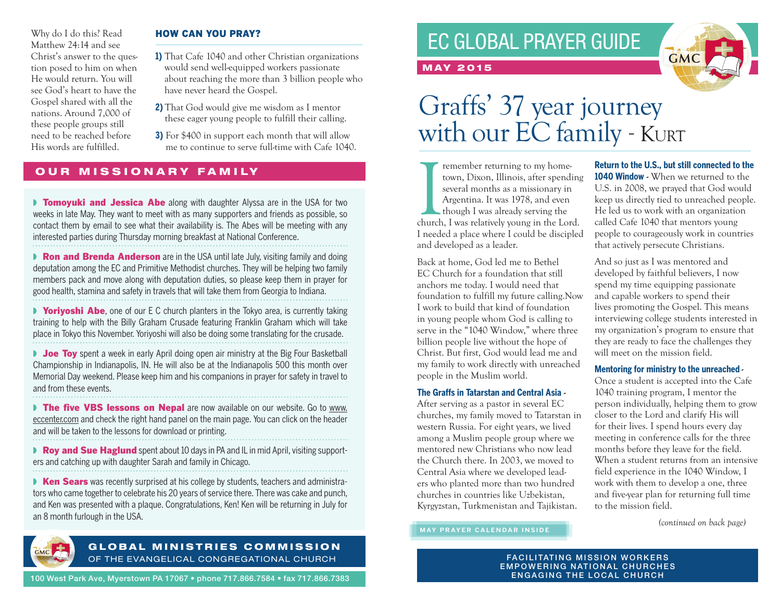Why do I do this? Read Matthew 24:14 and see Christ's answer to the question posed to him on when He would return. You will see God's heart to have the Gospel shared with all the nations. Around 7,000 of these people groups still need to be reached before His words are fulfilled.

### HOW CAN YOU PRAY?

- **1)** That Cafe 1040 and other Christian organizations would send well-equipped workers passionate about reaching the more than 3 billion people who have never heard the Gospel.
- **2)** That God would give me wisdom as I mentor these eager young people to fulfill their calling.
- **3)** For \$400 in support each month that will allow me to continue to serve full-time with Cafe 1040.

### OUR MISSIONARY FAMILY

**Tomoyuki and Jessica Abe** along with daughter Alyssa are in the USA for two weeks in late May. They want to meet with as many supporters and friends as possible, so contact them by email to see what their availability is. The Abes will be meeting with any interested parties during Thursday morning breakfast at National Conference.

**▶ Ron and Brenda Anderson** are in the USA until late July, visiting family and doing deputation among the EC and Primitive Methodist churches. They will be helping two family members pack and move along with deputation duties, so please keep them in prayer for good health, stamina and safety in travels that will take them from Georgia to Indiana.

■ **Yoriyoshi Abe**, one of our E C church planters in the Tokyo area, is currently taking training to help with the Billy Graham Crusade featuring Franklin Graham which will take place in Tokyo this November. Yoriyoshi will also be doing some translating for the crusade.

■ Joe Toy spent a week in early April doing open air ministry at the Big Four Basketball Championship in Indianapolis, IN. He will also be at the Indianapolis 500 this month over Memorial Day weekend. Please keep him and his companions in prayer for safety in travel to and from these events.

■ The five VBS lessons on Nepal are now available on our website. Go to www. eccenter.com and check the right hand panel on the main page. You can click on the header and will be taken to the lessons for download or printing.

■ Roy and Sue Haglund spent about 10 days in PA and IL in mid April, visiting supporters and catching up with daughter Sarah and family in Chicago.

**N** Ken Sears was recently surprised at his college by students, teachers and administrators who came together to celebrate his 20 years of service there. There was cake and punch, and Ken was presented with a plaque. Congratulations, Ken! Ken will be returning in July for an 8 month furlough in the USA.



### GLOBAL MINISTRIES COMMISSION OF THE EVANGELICAL CONGREGATIONAL CHURCH

100 West Park Ave, Myerstown PA 17067 • phone 717.866.7584 • fax 717.866.7383

## EC GLOBAL PRAYER GUIDE



# Graffs' 37 year journey with our EC family - KURT

Immedia and the member returning to my hometown, Dixon, Illinois, after spending several months as a missionary in Argentina. It was 1978, and even though I was already serving the church, I was relatively young in the Lor remember returning to my hometown, Dixon, Illinois, after spending several months as a missionary in Argentina. It was 1978, and even though I was already serving the I needed a place where I could be discipled and developed as a leader.

MAY 2015

Back at home, God led me to Bethel EC Church for a foundation that still anchors me today. I would need that foundation to fulfill my future calling.Now I work to build that kind of foundation in young people whom God is calling to serve in the "1040 Window," where three billion people live without the hope of Christ. But first, God would lead me and my family to work directly with unreached people in the Muslim world.

### **The Graffs in Tatarstan and Central Asia -**

After serving as a pastor in several EC churches, my family moved to Tatarstan in western Russia. For eight years, we lived among a Muslim people group where we mentored new Christians who now lead the Church there. In 2003, we moved to Central Asia where we developed leaders who planted more than two hundred churches in countries like Uzbekistan, Kyrgyzstan, Turkmenistan and Tajikistan.

**MAY PRAYER CALENDAR INSIDE**

**Return to the U.S., but still connected to the 1040 Window** - When we returned to the U.S. in 2008, we prayed that God would keep us directly tied to unreached people. He led us to work with an organization called Cafe 1040 that mentors young people to courageously work in countries that actively persecute Christians.

And so just as I was mentored and developed by faithful believers, I now spend my time equipping passionate and capable workers to spend their lives promoting the Gospel. This means interviewing college students interested in my organization's program to ensure that they are ready to face the challenges they will meet on the mission field.

### **Mentoring for ministry to the unreached -**

Once a student is accepted into the Cafe 1040 training program, I mentor the person individually, helping them to grow closer to the Lord and clarify His will for their lives. I spend hours every day meeting in conference calls for the three months before they leave for the field. When a student returns from an intensive field experience in the 1040 Window, I work with them to develop a one, three and five-year plan for returning full time to the mission field.

*(continued on back page)*

**FACILITATING MISSION WORKERS** EMPOWERING NATIONAL CHURCHES ENGAGING THE LOCAL CHURCH